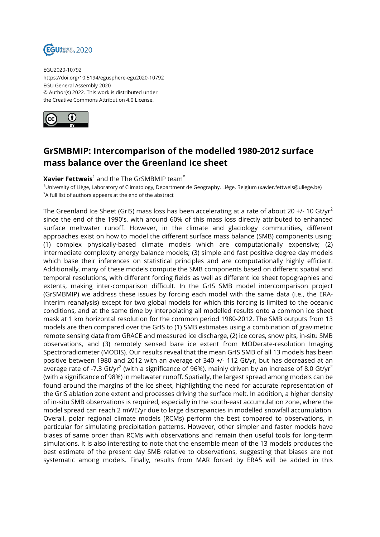

EGU2020-10792 https://doi.org/10.5194/egusphere-egu2020-10792 EGU General Assembly 2020 © Author(s) 2022. This work is distributed under the Creative Commons Attribution 4.0 License.



## **GrSMBMIP: Intercomparison of the modelled 1980-2012 surface mass balance over the Greenland Ice sheet**

## $\bm{\mathsf{X}}$ avier Fettweis $^1$  and the The GrSMBMIP team $^*$

<sup>1</sup>University of Liège, Laboratory of Climatology, Department de Geography, Liège, Belgium (xavier.fettweis@uliege.be) \*A full list of authors appears at the end of the abstract

The Greenland Ice Sheet (GrIS) mass loss has been accelerating at a rate of about 20 +/- 10 Gt/yr<sup>2</sup> since the end of the 1990's, with around 60% of this mass loss directly attributed to enhanced surface meltwater runoff. However, in the climate and glaciology communities, different approaches exist on how to model the different surface mass balance (SMB) components using: (1) complex physically-based climate models which are computationally expensive; (2) intermediate complexity energy balance models; (3) simple and fast positive degree day models which base their inferences on statistical principles and are computationally highly efficient. Additionally, many of these models compute the SMB components based on different spatial and temporal resolutions, with different forcing fields as well as different ice sheet topographies and extents, making inter-comparison difficult. In the GrIS SMB model intercomparison project (GrSMBMIP) we address these issues by forcing each model with the same data (i.e., the ERA-Interim reanalysis) except for two global models for which this forcing is limited to the oceanic conditions, and at the same time by interpolating all modelled results onto a common ice sheet mask at 1 km horizontal resolution for the common period 1980-2012. The SMB outputs from 13 models are then compared over the GrIS to (1) SMB estimates using a combination of gravimetric remote sensing data from GRACE and measured ice discharge, (2) ice cores, snow pits, in-situ SMB observations, and (3) remotely sensed bare ice extent from MODerate-resolution Imaging Spectroradiometer (MODIS). Our results reveal that the mean GrIS SMB of all 13 models has been positive between 1980 and 2012 with an average of 340 +/- 112 Gt/yr, but has decreased at an average rate of -7.3 Gt/yr<sup>2</sup> (with a significance of 96%), mainly driven by an increase of 8.0 Gt/yr<sup>2</sup> (with a significance of 98%) in meltwater runoff. Spatially, the largest spread among models can be found around the margins of the ice sheet, highlighting the need for accurate representation of the GrIS ablation zone extent and processes driving the surface melt. In addition, a higher density of in-situ SMB observations is required, especially in the south-east accumulation zone, where the model spread can reach 2 mWE/yr due to large discrepancies in modelled snowfall accumulation. Overall, polar regional climate models (RCMs) perform the best compared to observations, in particular for simulating precipitation patterns. However, other simpler and faster models have biases of same order than RCMs with observations and remain then useful tools for long-term simulations. It is also interesting to note that the ensemble mean of the 13 models produces the best estimate of the present day SMB relative to observations, suggesting that biases are not systematic among models. Finally, results from MAR forced by ERA5 will be added in this